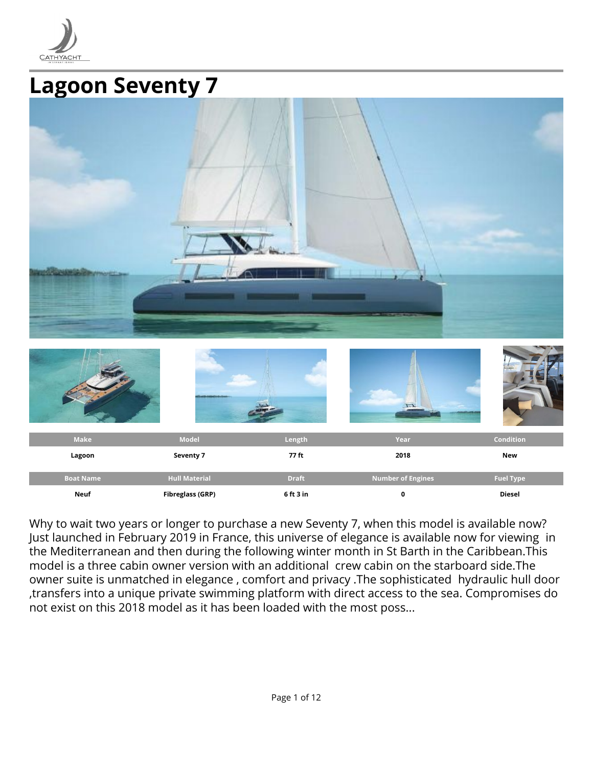

# **Lagoon Seventy 7**

| Make             | Model                   | Length       | 1.5<br>Year              | Condition        |
|------------------|-------------------------|--------------|--------------------------|------------------|
| Lagoon           | Seventy 7               | 77 ft        | 2018                     | New              |
| <b>Boat Name</b> | <b>Hull Material</b>    | <b>Draft</b> | <b>Number of Engines</b> | <b>Fuel Type</b> |
| <b>Neuf</b>      | <b>Fibreglass (GRP)</b> | 6 ft 3 in    | $\pmb{0}$                | Diesel           |

Why to wait two years or longer to purchase a new Seventy 7, when this model is available now? Just launched in February 2019 in France, this universe of elegance is available now for viewing in the Mediterranean and then during the following winter month in St Barth in the Caribbean.This model is a three cabin owner version with an additional crew cabin on the starboard side.The owner suite is unmatched in elegance , comfort and privacy .The sophisticated hydraulic hull door ,transfers into a unique private swimming platform with direct access to the sea. Compromises do not exist on this 2018 model as it has been loaded with the most poss...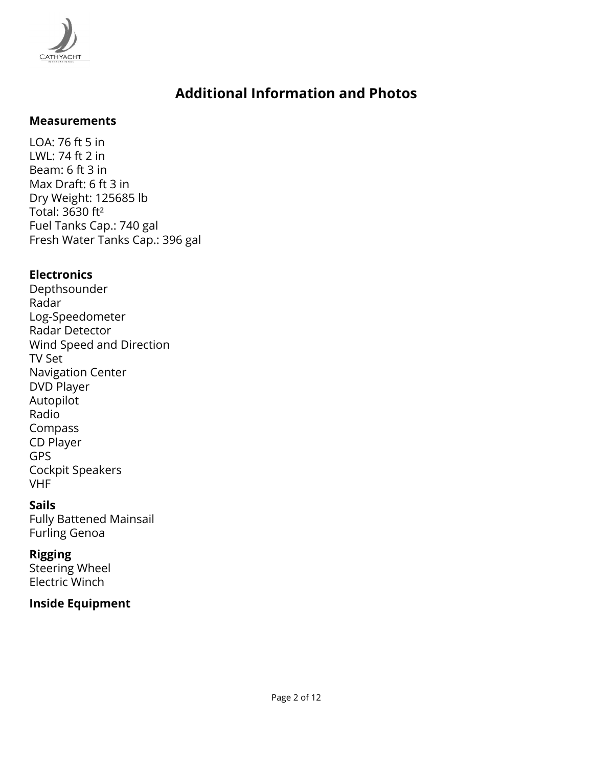

#### **Measurements**

LOA: 76 ft 5 in LWL: 74 ft 2 in Beam: 6 ft 3 in Max Draft: 6 ft 3 in Dry Weight: 125685 lb Total: 3630 ft² Fuel Tanks Cap.: 740 gal Fresh Water Tanks Cap.: 396 gal

#### **Electronics**

Depthsounder Radar Log-Speedometer Radar Detector Wind Speed and Direction TV Set Navigation Center DVD Player Autopilot Radio Compass CD Player GPS Cockpit Speakers VHF

#### **Sails**

Fully Battened Mainsail Furling Genoa

#### **Rigging**

Steering Wheel Electric Winch

#### **Inside Equipment**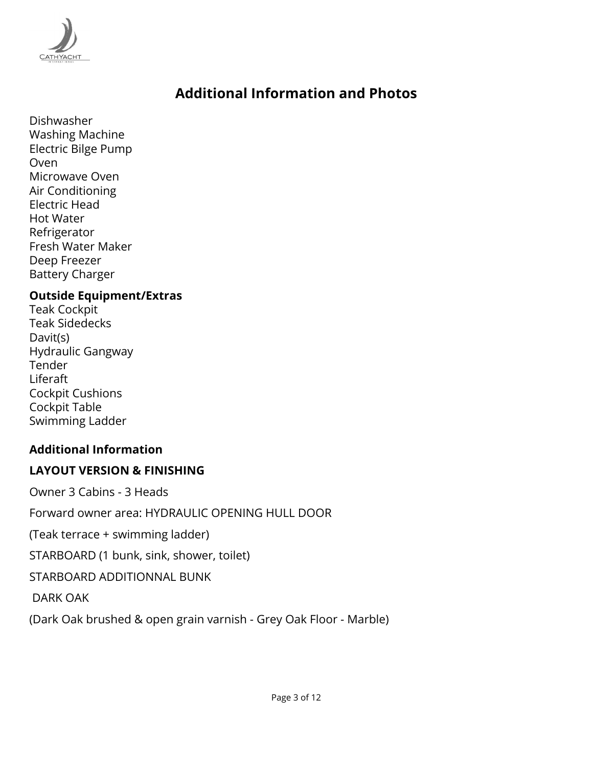

Dishwasher Washing Machine Electric Bilge Pump Oven Microwave Oven Air Conditioning Electric Head Hot Water Refrigerator Fresh Water Maker Deep Freezer Battery Charger

#### **Outside Equipment/Extras**

Teak Cockpit Teak Sidedecks Davit(s) Hydraulic Gangway Tender Liferaft Cockpit Cushions Cockpit Table Swimming Ladder

#### **Additional Information**

#### **LAYOUT VERSION & FINISHING**

Owner 3 Cabins - 3 Heads

Forward owner area: HYDRAULIC OPENING HULL DOOR

(Teak terrace + swimming ladder)

STARBOARD (1 bunk, sink, shower, toilet)

STARBOARD ADDITIONNAL BUNK

DARK OAK

(Dark Oak brushed & open grain varnish - Grey Oak Floor - Marble)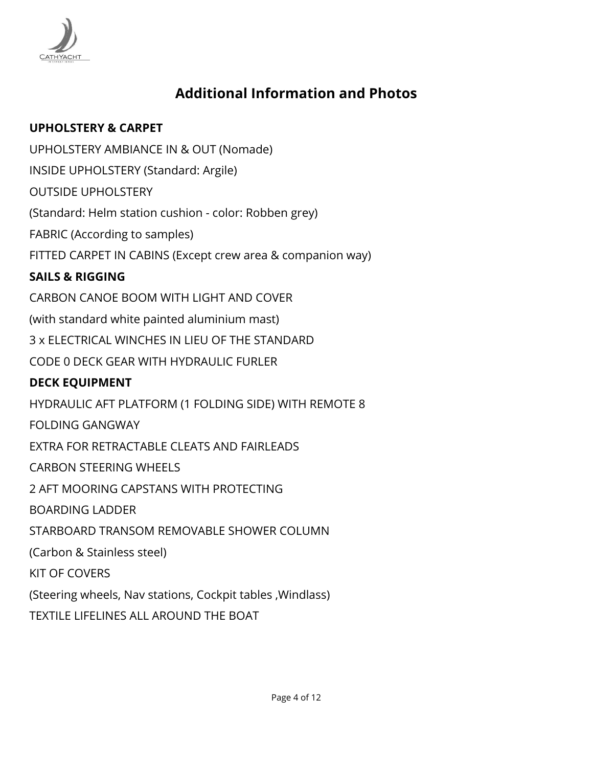

### **UPHOLSTERY & CARPET**

UPHOLSTERY AMBIANCE IN & OUT (Nomade)

INSIDE UPHOLSTERY (Standard: Argile)

OUTSIDE UPHOLSTERY

(Standard: Helm station cushion - color: Robben grey)

FABRIC (According to samples)

FITTED CARPET IN CABINS (Except crew area & companion way)

### **SAILS & RIGGING**

CARBON CANOE BOOM WITH LIGHT AND COVER (with standard white painted aluminium mast) 3 x ELECTRICAL WINCHES IN LIEU OF THE STANDARD CODE 0 DECK GEAR WITH HYDRAULIC FURLER **DECK EQUIPMENT** HYDRAULIC AFT PLATFORM (1 FOLDING SIDE) WITH REMOTE 8 FOLDING GANGWAY EXTRA FOR RETRACTABLE CLEATS AND FAIRLEADS CARBON STEERING WHEELS 2 AFT MOORING CAPSTANS WITH PROTECTING BOARDING LADDER STARBOARD TRANSOM REMOVABLE SHOWER COLUMN (Carbon & Stainless steel) KIT OF COVERS (Steering wheels, Nav stations, Cockpit tables ,Windlass)

TEXTILE LIFELINES ALL AROUND THE BOAT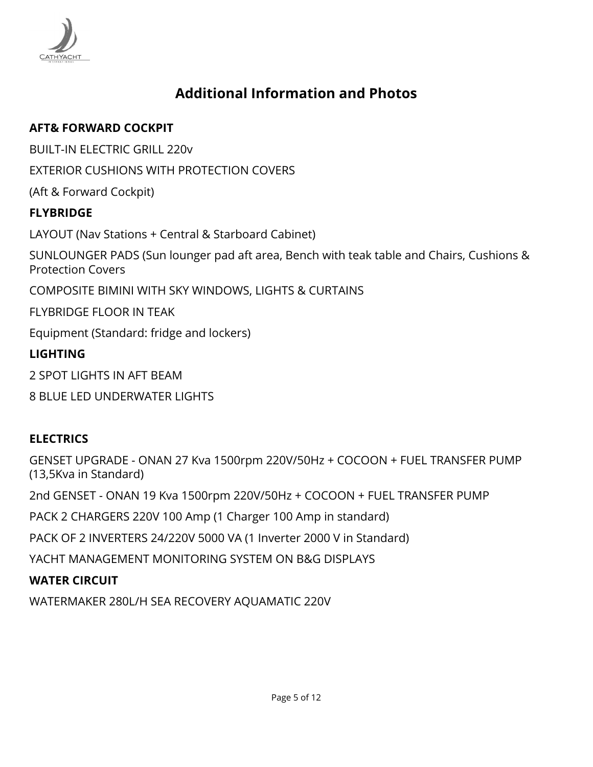

#### **AFT& FORWARD COCKPIT**

BUILT-IN ELECTRIC GRILL 220v

EXTERIOR CUSHIONS WITH PROTECTION COVERS

(Aft & Forward Cockpit)

#### **FLYBRIDGE**

LAYOUT (Nav Stations + Central & Starboard Cabinet) SUNLOUNGER PADS (Sun lounger pad aft area, Bench with teak table and Chairs, Cushions & Protection Covers COMPOSITE BIMINI WITH SKY WINDOWS, LIGHTS & CURTAINS FLYBRIDGE FLOOR IN TEAK Equipment (Standard: fridge and lockers) **LIGHTING** 2 SPOT LIGHTS IN AFT BEAM 8 BLUE LED UNDERWATER LIGHTS

### **ELECTRICS**

GENSET UPGRADE - ONAN 27 Kva 1500rpm 220V/50Hz + COCOON + FUEL TRANSFER PUMP (13,5Kva in Standard)

2nd GENSET - ONAN 19 Kva 1500rpm 220V/50Hz + COCOON + FUEL TRANSFER PUMP

PACK 2 CHARGERS 220V 100 Amp (1 Charger 100 Amp in standard)

PACK OF 2 INVERTERS 24/220V 5000 VA (1 Inverter 2000 V in Standard)

YACHT MANAGEMENT MONITORING SYSTEM ON B&G DISPLAYS

### **WATER CIRCUIT**

WATERMAKER 280L/H SEA RECOVERY AQUAMATIC 220V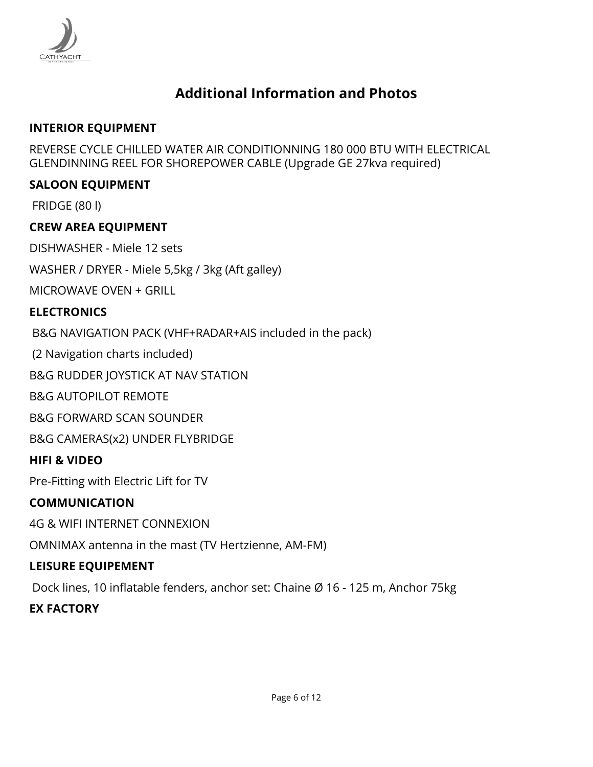

#### **INTERIOR EQUIPMENT**

REVERSE CYCLE CHILLED WATER AIR CONDITIONNING 180 000 BTU WITH ELECTRICAL GLENDINNING REEL FOR SHOREPOWER CABLE (Upgrade GE 27kva required)

#### **SALOON EQUIPMENT**

FRIDGE (80 l)

#### **CREW AREA EQUIPMENT**

DISHWASHER - Miele 12 sets

WASHER / DRYER - Miele 5,5kg / 3kg (Aft galley)

MICROWAVE OVEN + GRILL

#### **ELECTRONICS**

B&G NAVIGATION PACK (VHF+RADAR+AIS included in the pack)

(2 Navigation charts included)

B&G RUDDER JOYSTICK AT NAV STATION

B&G AUTOPILOT REMOTE

B&G FORWARD SCAN SOUNDER

B&G CAMERAS(x2) UNDER FLYBRIDGE

#### **HIFI & VIDEO**

Pre-Fitting with Electric Lift for TV

#### **COMMUNICATION**

4G & WIFI INTERNET CONNEXION

OMNIMAX antenna in the mast (TV Hertzienne, AM-FM)

#### **LEISURE EQUIPEMENT**

Dock lines, 10 inflatable fenders, anchor set: Chaine Ø 16 - 125 m, Anchor 75kg

#### **EX FACTORY**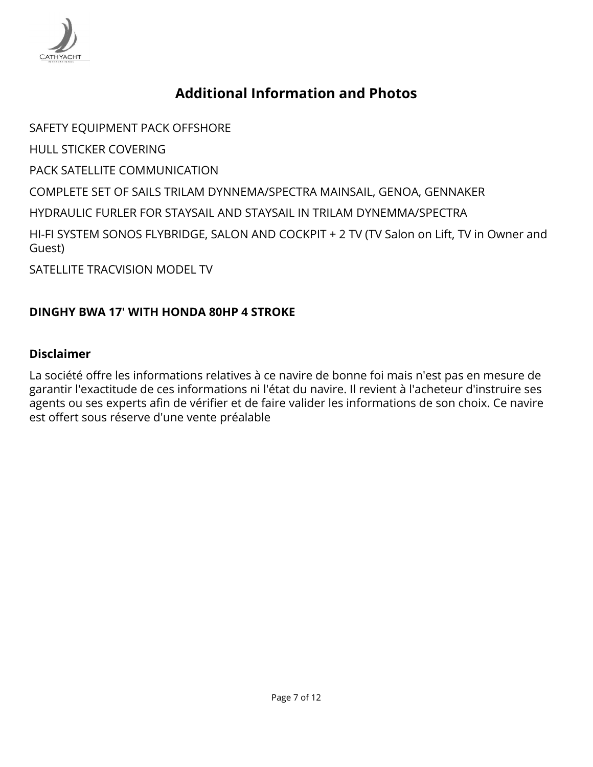

SAFETY EQUIPMENT PACK OFFSHORE HULL STICKER COVERING PACK SATELLITE COMMUNICATION COMPLETE SET OF SAILS TRILAM DYNNEMA/SPECTRA MAINSAIL, GENOA, GENNAKER HYDRAULIC FURLER FOR STAYSAIL AND STAYSAIL IN TRILAM DYNEMMA/SPECTRA HI-FI SYSTEM SONOS FLYBRIDGE, SALON AND COCKPIT + 2 TV (TV Salon on Lift, TV in Owner and Guest)

SATELLITE TRACVISION MODEL TV

#### **DINGHY BWA 17' WITH HONDA 80HP 4 STROKE**

#### **Disclaimer**

La société offre les informations relatives à ce navire de bonne foi mais n'est pas en mesure de garantir l'exactitude de ces informations ni l'état du navire. Il revient à l'acheteur d'instruire ses agents ou ses experts afin de vérifier et de faire valider les informations de son choix. Ce navire est offert sous réserve d'une vente préalable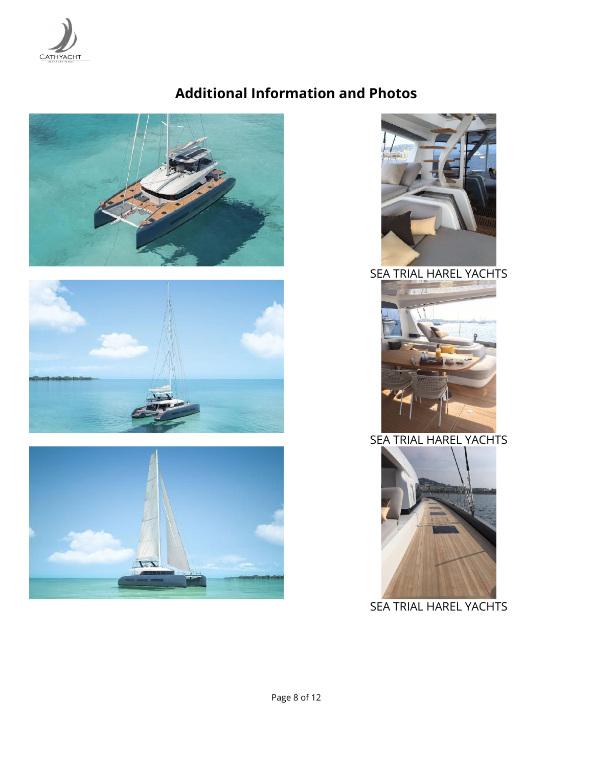









SEA TRIAL HAREL YACHTS



### SEA TRIAL HAREL YACHTS



SEA TRIAL HAREL YACHTS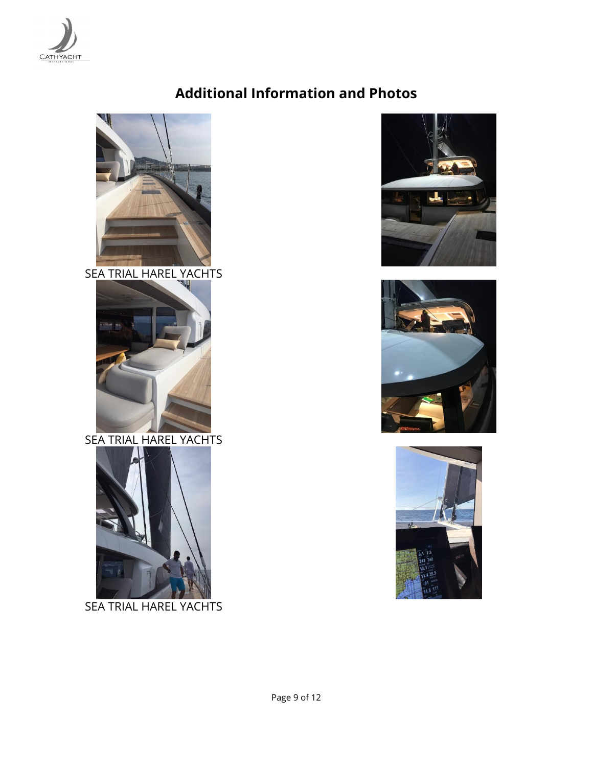



SEA TRIAL HAREL YACHTS



SEA TRIAL HAREL YACHTS



SEA TRIAL HAREL YACHTS





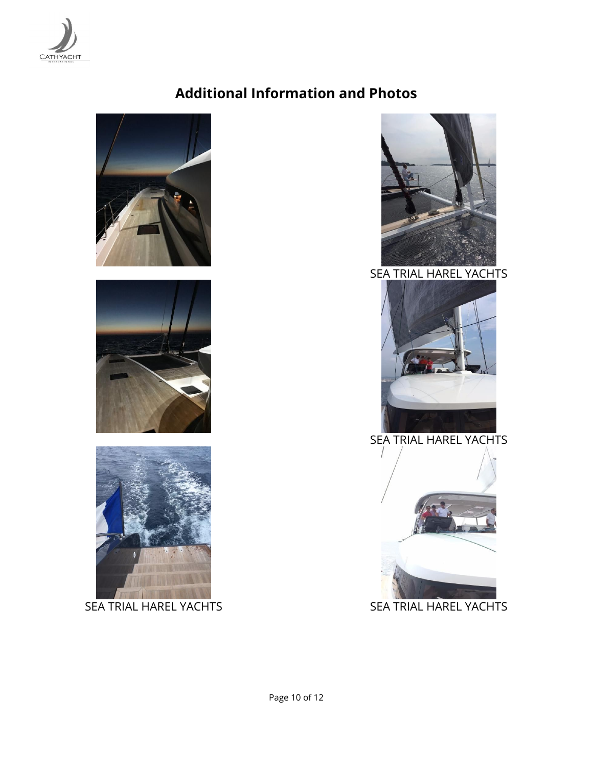







SEA TRIAL HAREL YACHTS



SEA TRIAL HAREL YACHTS





SEA TRIAL HAREL YACHTS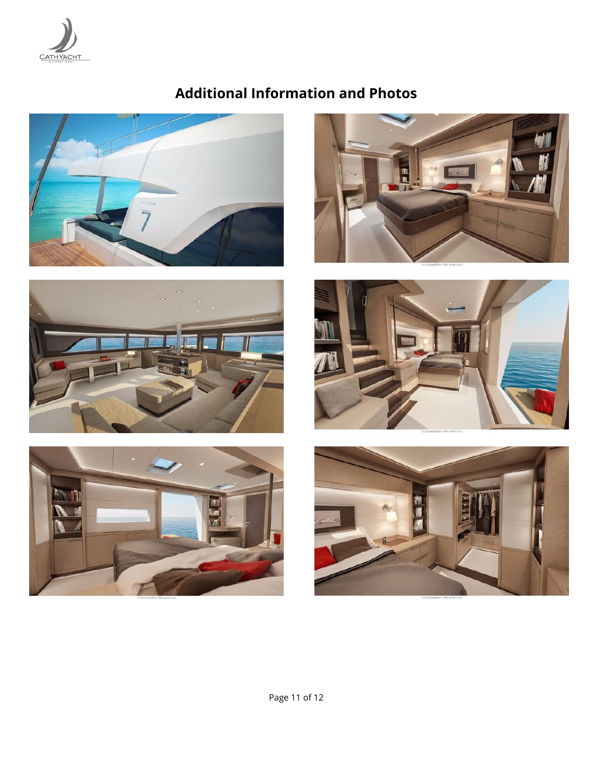













 $\overline{\mathbf{7}}$